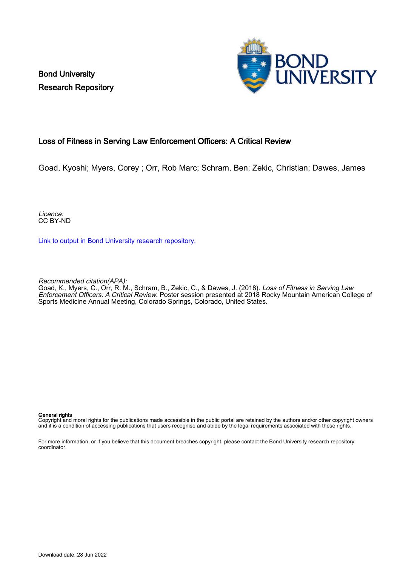Bond University Research Repository



#### Loss of Fitness in Serving Law Enforcement Officers: A Critical Review

Goad, Kyoshi; Myers, Corey ; Orr, Rob Marc; Schram, Ben; Zekic, Christian; Dawes, James

Licence: CC BY-ND

[Link to output in Bond University research repository.](https://research.bond.edu.au/en/publications/e21c8688-7d69-4be3-96a6-f166d3d80d49)

Recommended citation(APA):

Goad, K., Myers, C., Orr, R. M., Schram, B., Zekic, C., & Dawes, J. (2018). Loss of Fitness in Serving Law Enforcement Officers: A Critical Review. Poster session presented at 2018 Rocky Mountain American College of Sports Medicine Annual Meeting, Colorado Springs, Colorado, United States.

#### General rights

Copyright and moral rights for the publications made accessible in the public portal are retained by the authors and/or other copyright owners and it is a condition of accessing publications that users recognise and abide by the legal requirements associated with these rights.

For more information, or if you believe that this document breaches copyright, please contact the Bond University research repository coordinator.